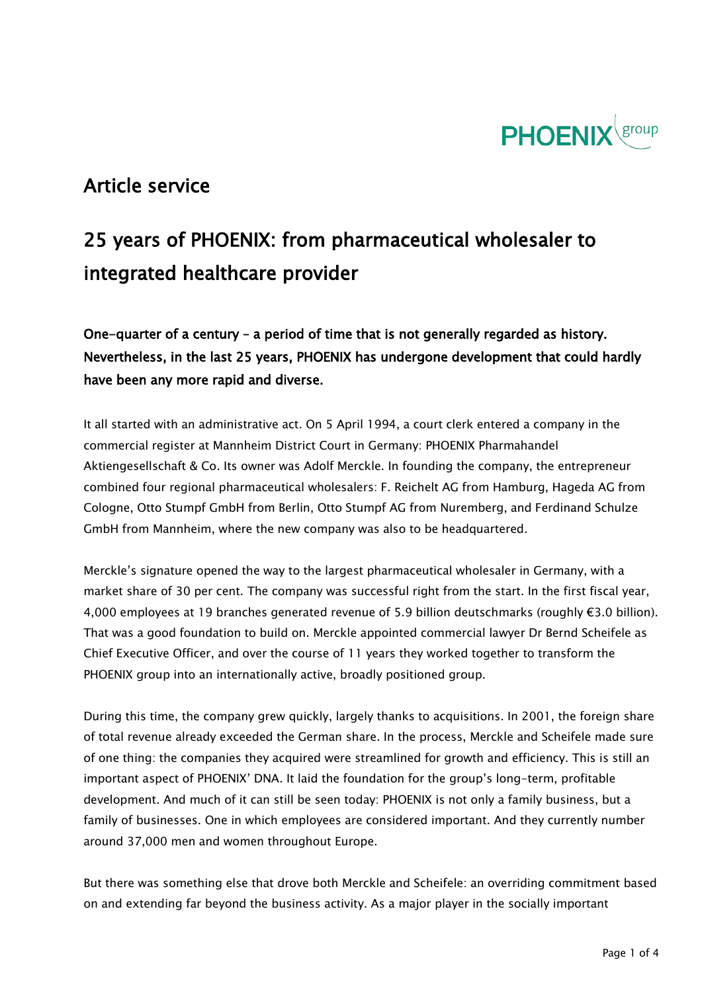

## Article service

# 25 years of PHOENIX: from pharmaceutical wholesaler to integrated healthcare provider

One-quarter of a century – a period of time that is not generally regarded as history. Nevertheless, in the last 25 years, PHOENIX has undergone development that could hardly have been any more rapid and diverse.

It all started with an administrative act. On 5 April 1994, a court clerk entered a company in the commercial register at Mannheim District Court in Germany: PHOENIX Pharmahandel Aktiengesellschaft & Co. Its owner was Adolf Merckle. In founding the company, the entrepreneur combined four regional pharmaceutical wholesalers: F. Reichelt AG from Hamburg, Hageda AG from Cologne, Otto Stumpf GmbH from Berlin, Otto Stumpf AG from Nuremberg, and Ferdinand Schulze GmbH from Mannheim, where the new company was also to be headquartered.

Merckle's signature opened the way to the largest pharmaceutical wholesaler in Germany, with a market share of 30 per cent. The company was successful right from the start. In the first fiscal year, 4,000 employees at 19 branches generated revenue of 5.9 billion deutschmarks (roughly €3.0 billion). That was a good foundation to build on. Merckle appointed commercial lawyer Dr Bernd Scheifele as Chief Executive Officer, and over the course of 11 years they worked together to transform the PHOENIX group into an internationally active, broadly positioned group.

During this time, the company grew quickly, largely thanks to acquisitions. In 2001, the foreign share of total revenue already exceeded the German share. In the process, Merckle and Scheifele made sure of one thing: the companies they acquired were streamlined for growth and efficiency. This is still an important aspect of PHOENIX' DNA. It laid the foundation for the group's long-term, profitable development. And much of it can still be seen today: PHOENIX is not only a family business, but a family of businesses. One in which employees are considered important. And they currently number around 37,000 men and women throughout Europe.

But there was something else that drove both Merckle and Scheifele: an overriding commitment based on and extending far beyond the business activity. As a major player in the socially important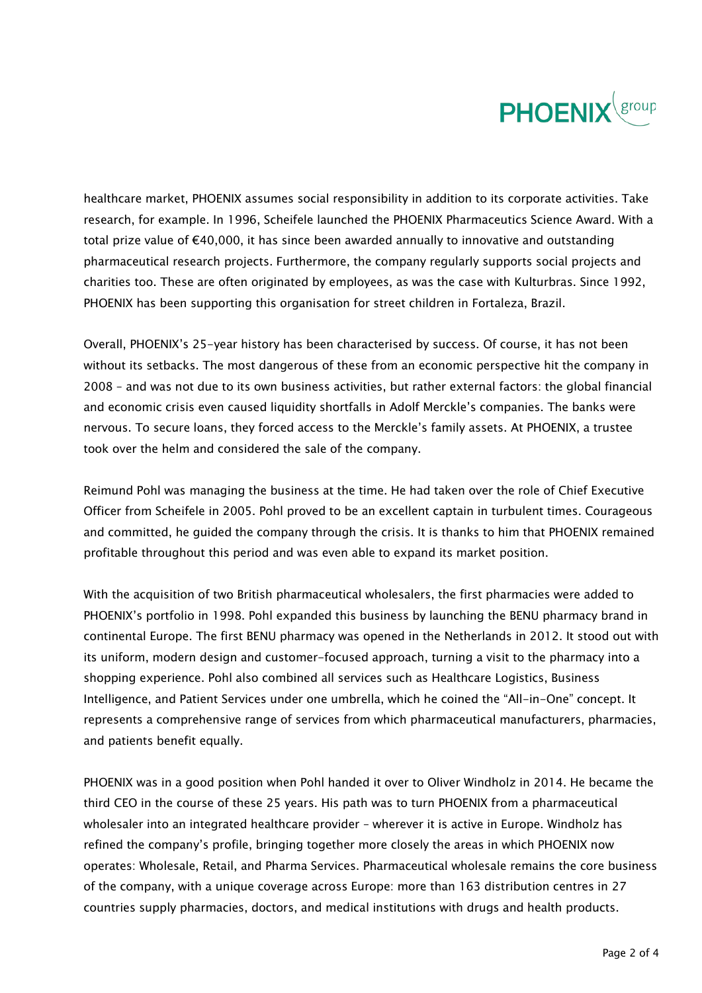

healthcare market, PHOENIX assumes social responsibility in addition to its corporate activities. Take research, for example. In 1996, Scheifele launched the PHOENIX Pharmaceutics Science Award. With a total prize value of €40,000, it has since been awarded annually to innovative and outstanding pharmaceutical research projects. Furthermore, the company regularly supports social projects and charities too. These are often originated by employees, as was the case with Kulturbras. Since 1992, PHOENIX has been supporting this organisation for street children in Fortaleza, Brazil.

Overall, PHOENIX's 25-year history has been characterised by success. Of course, it has not been without its setbacks. The most dangerous of these from an economic perspective hit the company in 2008 – and was not due to its own business activities, but rather external factors: the global financial and economic crisis even caused liquidity shortfalls in Adolf Merckle's companies. The banks were nervous. To secure loans, they forced access to the Merckle's family assets. At PHOENIX, a trustee took over the helm and considered the sale of the company.

Reimund Pohl was managing the business at the time. He had taken over the role of Chief Executive Officer from Scheifele in 2005. Pohl proved to be an excellent captain in turbulent times. Courageous and committed, he guided the company through the crisis. It is thanks to him that PHOENIX remained profitable throughout this period and was even able to expand its market position.

With the acquisition of two British pharmaceutical wholesalers, the first pharmacies were added to PHOENIX's portfolio in 1998. Pohl expanded this business by launching the BENU pharmacy brand in continental Europe. The first BENU pharmacy was opened in the Netherlands in 2012. It stood out with its uniform, modern design and customer-focused approach, turning a visit to the pharmacy into a shopping experience. Pohl also combined all services such as Healthcare Logistics, Business Intelligence, and Patient Services under one umbrella, which he coined the "All-in-One" concept. It represents a comprehensive range of services from which pharmaceutical manufacturers, pharmacies, and patients benefit equally.

PHOENIX was in a good position when Pohl handed it over to Oliver Windholz in 2014. He became the third CEO in the course of these 25 years. His path was to turn PHOENIX from a pharmaceutical wholesaler into an integrated healthcare provider – wherever it is active in Europe. Windholz has refined the company's profile, bringing together more closely the areas in which PHOENIX now operates: Wholesale, Retail, and Pharma Services. Pharmaceutical wholesale remains the core business of the company, with a unique coverage across Europe: more than 163 distribution centres in 27 countries supply pharmacies, doctors, and medical institutions with drugs and health products.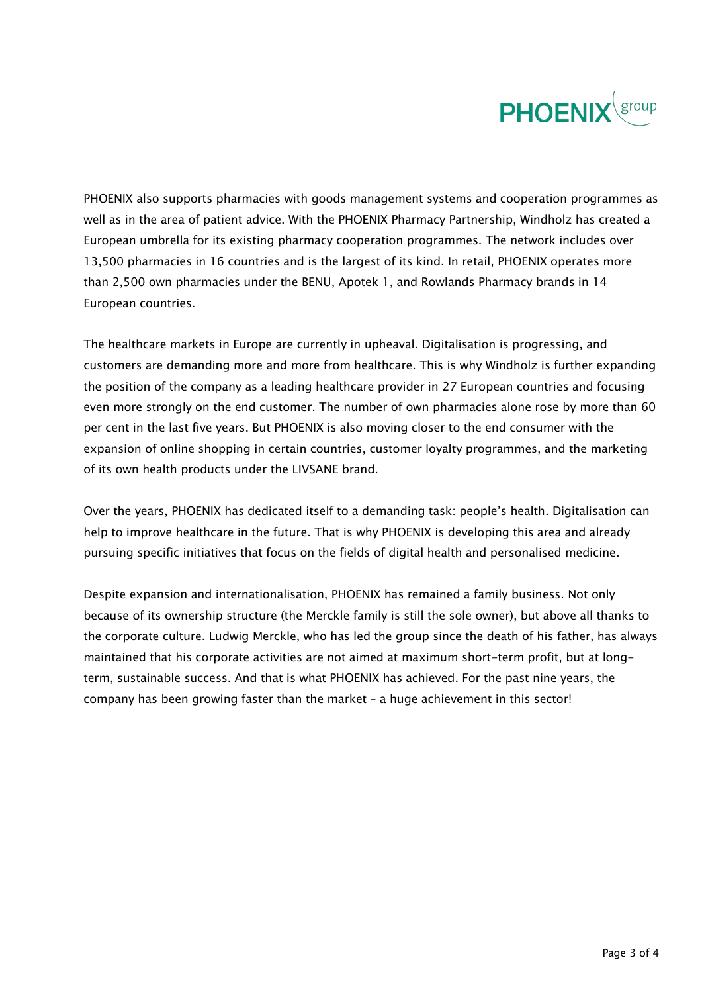

PHOENIX also supports pharmacies with goods management systems and cooperation programmes as well as in the area of patient advice. With the PHOENIX Pharmacy Partnership, Windholz has created a European umbrella for its existing pharmacy cooperation programmes. The network includes over 13,500 pharmacies in 16 countries and is the largest of its kind. In retail, PHOENIX operates more than 2,500 own pharmacies under the BENU, Apotek 1, and Rowlands Pharmacy brands in 14 European countries.

The healthcare markets in Europe are currently in upheaval. Digitalisation is progressing, and customers are demanding more and more from healthcare. This is why Windholz is further expanding the position of the company as a leading healthcare provider in 27 European countries and focusing even more strongly on the end customer. The number of own pharmacies alone rose by more than 60 per cent in the last five years. But PHOENIX is also moving closer to the end consumer with the expansion of online shopping in certain countries, customer loyalty programmes, and the marketing of its own health products under the LIVSANE brand.

Over the years, PHOENIX has dedicated itself to a demanding task: people's health. Digitalisation can help to improve healthcare in the future. That is why PHOENIX is developing this area and already pursuing specific initiatives that focus on the fields of digital health and personalised medicine.

Despite expansion and internationalisation, PHOENIX has remained a family business. Not only because of its ownership structure (the Merckle family is still the sole owner), but above all thanks to the corporate culture. Ludwig Merckle, who has led the group since the death of his father, has always maintained that his corporate activities are not aimed at maximum short-term profit, but at longterm, sustainable success. And that is what PHOENIX has achieved. For the past nine years, the company has been growing faster than the market – a huge achievement in this sector!